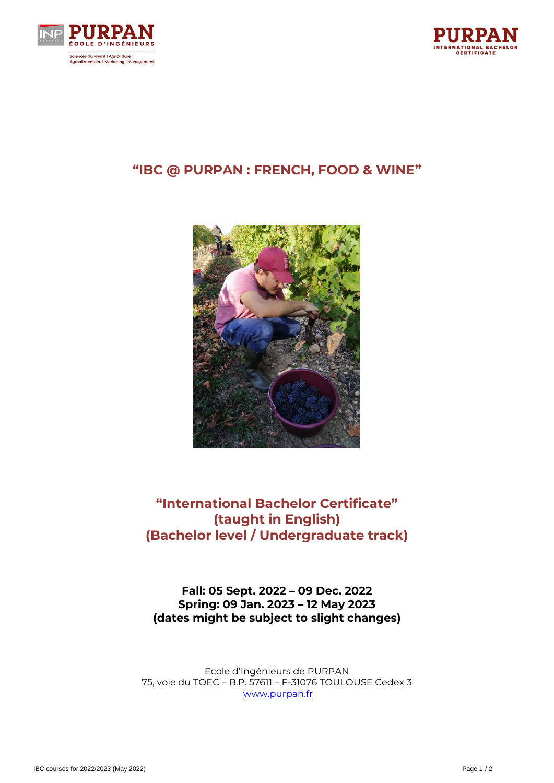



## **"IBC @ PURPAN : FRENCH, FOOD & WINE"**



# **"International Bachelor Certificate" (taught in English) (Bachelor level / Undergraduate track)**

**Fall: 05 Sept. 2022 – 09 Dec. 2022 Spring: 09 Jan. 2023 – 12 May 2023 (dates might be subject to slight changes)**

Ecole d'Ingénieurs de PURPAN 75, voie du TOEC – B.P. 57611 – F-31076 TOULOUSE Cedex 3 [www.purpan.fr](http://www.purpan.fr/)